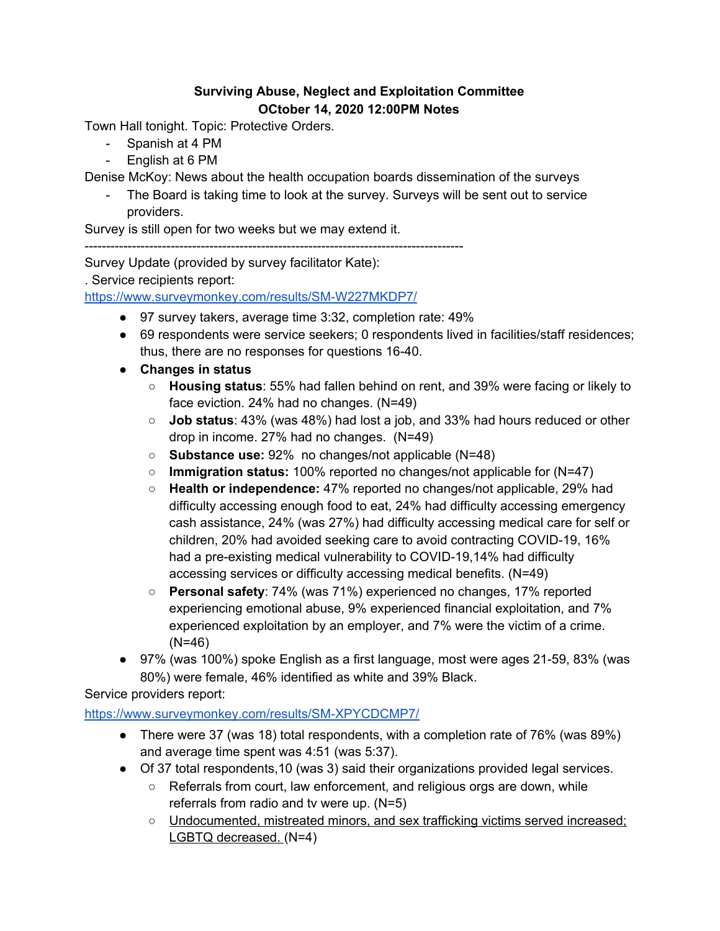## **Surviving Abuse, Neglect and Exploitation Committee OCtober 14, 2020 12:00PM Notes**

Town Hall tonight. Topic: Protective Orders.

- Spanish at 4 PM
- English at 6 PM

Denise McKoy: News about the health occupation boards dissemination of the surveys

- The Board is taking time to look at the survey. Surveys will be sent out to service providers.

Survey is still open for two weeks but we may extend it.

----------------------------------------------------------------------------------------

Survey Update (provided by survey facilitator Kate):

. Service recipients report:

<https://www.surveymonkey.com/results/SM-W227MKDP7/>

- 97 survey takers, average time 3:32, completion rate: 49%
- 69 respondents were service seekers; 0 respondents lived in facilities/staff residences; thus, there are no responses for questions 16-40.
- **● Changes in status**
	- **Housing status**: 55% had fallen behind on rent, and 39% were facing or likely to face eviction. 24% had no changes. (N=49)
	- **Job status**: 43% (was 48%) had lost a job, and 33% had hours reduced or other drop in income. 27% had no changes. (N=49)
	- **Substance use:** 92% no changes/not applicable (N=48)
	- **Immigration status:** 100% reported no changes/not applicable for (N=47)
	- **Health or independence:** 47% reported no changes/not applicable, 29% had difficulty accessing enough food to eat, 24% had difficulty accessing emergency cash assistance, 24% (was 27%) had difficulty accessing medical care for self or children, 20% had avoided seeking care to avoid contracting COVID-19, 16% had a pre-existing medical vulnerability to COVID-19,14% had difficulty accessing services or difficulty accessing medical benefits. (N=49)
	- **Personal safety**: 74% (was 71%) experienced no changes, 17% reported experiencing emotional abuse, 9% experienced financial exploitation, and 7% experienced exploitation by an employer, and 7% were the victim of a crime. (N=46)
- **●** 97% (was 100%) spoke English as a first language, most were ages 21-59, 83% (was 80%) were female, 46% identified as white and 39% Black.

Service providers report:

## <https://www.surveymonkey.com/results/SM-XPYCDCMP7/>

- There were 37 (was 18) total respondents, with a completion rate of 76% (was 89%) and average time spent was 4:51 (was 5:37).
- Of 37 total respondents,10 (was 3) said their organizations provided legal services.
	- $\circ$  Referrals from court, law enforcement, and religious orgs are down, while referrals from radio and tv were up. (N=5)
	- Undocumented, mistreated minors, and sex trafficking victims served increased; LGBTQ decreased. (N=4)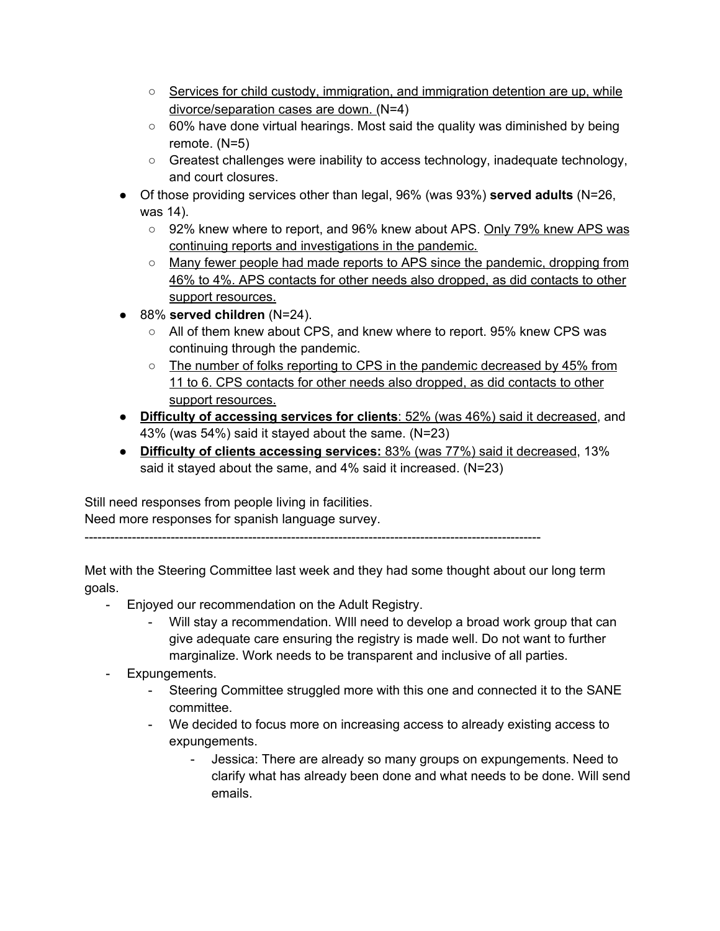- $\circ$  Services for child custody, immigration, and immigration detention are up, while divorce/separation cases are down. (N=4)
- $\circ$  60% have done virtual hearings. Most said the quality was diminished by being remote. (N=5)
- Greatest challenges were inability to access technology, inadequate technology, and court closures.
- Of those providing services other than legal, 96% (was 93%) **served adults** (N=26, was 14).
	- 92% knew where to report, and 96% knew about APS. Only 79% knew APS was continuing reports and investigations in the pandemic.
	- Many fewer people had made reports to APS since the pandemic, dropping from 46% to 4%. APS contacts for other needs also dropped, as did contacts to other support resources.
- 88% **served children** (N=24).
	- All of them knew about CPS, and knew where to report. 95% knew CPS was continuing through the pandemic.
	- $\circ$  The number of folks reporting to CPS in the pandemic decreased by 45% from 11 to 6. CPS contacts for other needs also dropped, as did contacts to other support resources.
- **Difficulty of accessing services for clients**: 52% (was 46%) said it decreased, and 43% (was 54%) said it stayed about the same. (N=23)
- **Difficulty of clients accessing services:** 83% (was 77%) said it decreased, 13% said it stayed about the same, and 4% said it increased. (N=23)

Still need responses from people living in facilities. Need more responses for spanish language survey.

----------------------------------------------------------------------------------------------------------

Met with the Steering Committee last week and they had some thought about our long term goals.

- Enjoyed our recommendation on the Adult Registry.
	- Will stay a recommendation. WIll need to develop a broad work group that can give adequate care ensuring the registry is made well. Do not want to further marginalize. Work needs to be transparent and inclusive of all parties.
- Expungements.
	- Steering Committee struggled more with this one and connected it to the SANE committee.
	- We decided to focus more on increasing access to already existing access to expungements.
		- Jessica: There are already so many groups on expungements. Need to clarify what has already been done and what needs to be done. Will send emails.